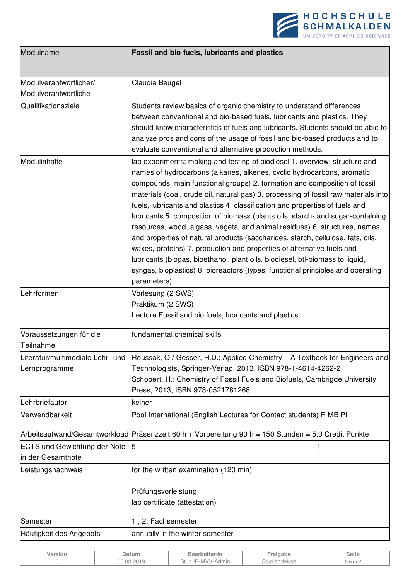

| Modulname                                                | Fossil and bio fuels, lubricants and plastics                                                                                                                                                                                                                                                                                                                                                                                                                                                                                                                                                                                                                                                                                                                                                                                                                                                                              |  |  |  |
|----------------------------------------------------------|----------------------------------------------------------------------------------------------------------------------------------------------------------------------------------------------------------------------------------------------------------------------------------------------------------------------------------------------------------------------------------------------------------------------------------------------------------------------------------------------------------------------------------------------------------------------------------------------------------------------------------------------------------------------------------------------------------------------------------------------------------------------------------------------------------------------------------------------------------------------------------------------------------------------------|--|--|--|
| Modulverantwortlicher/                                   | Claudia Beugel                                                                                                                                                                                                                                                                                                                                                                                                                                                                                                                                                                                                                                                                                                                                                                                                                                                                                                             |  |  |  |
| Modulverantwortliche                                     |                                                                                                                                                                                                                                                                                                                                                                                                                                                                                                                                                                                                                                                                                                                                                                                                                                                                                                                            |  |  |  |
| Qualifikationsziele                                      | Students review basics of organic chemistry to understand differences<br>between conventional and bio-based fuels, lubricants and plastics. They<br>should know characteristics of fuels and lubricants. Students should be able to<br>analyze pros and cons of the usage of fossil and bio-based products and to<br>evaluate conventional and alternative production methods.                                                                                                                                                                                                                                                                                                                                                                                                                                                                                                                                             |  |  |  |
| Modulinhalte                                             | lab experiments: making and testing of biodiesel 1. overview: structure and<br>names of hydrocarbons (alkanes, alkenes, cyclic hydrocarbons, aromatic<br>compounds, main functional groups) 2. formation and composition of fossil<br>materials (coal, crude oil, natural gas) 3. processing of fossil raw materials into<br>fuels, lubricants and plastics 4. classification and properties of fuels and<br>lubricants 5. composition of biomass (plants oils, starch- and sugar-containing<br>resources, wood, algaes, vegetal and animal residues) 6. structures, names<br>and properties of natural products (saccharides, starch, cellulose, fats, oils,<br>waxes, proteins) 7. production and properties of alternative fuels and<br>lubricants (biogas, bioethanol, plant oils, biodiesel, btl-biomass to liquid,<br>syngas, bioplastics) 8. bioreactors (types, functional principles and operating<br>parameters) |  |  |  |
| Lehrformen                                               | Vorlesung (2 SWS)<br>Praktikum (2 SWS)<br>Lecture Fossil and bio fuels, lubricants and plastics                                                                                                                                                                                                                                                                                                                                                                                                                                                                                                                                                                                                                                                                                                                                                                                                                            |  |  |  |
| Voraussetzungen für die<br>Teilnahme                     | fundamental chemical skills                                                                                                                                                                                                                                                                                                                                                                                                                                                                                                                                                                                                                                                                                                                                                                                                                                                                                                |  |  |  |
| Literatur/multimediale Lehr- und<br>Lernprogramme        | Roussak, O./ Gesser, H.D.: Applied Chemistry - A Textbook for Engineers and<br>Technologists, Springer-Verlag, 2013, ISBN 978-1-4614-4262-2<br>Schobert, H.: Chemistry of Fossil Fuels and Biofuels, Cambrigde University<br>Press, 2013, ISBN 978-0521781268                                                                                                                                                                                                                                                                                                                                                                                                                                                                                                                                                                                                                                                              |  |  |  |
| Lehrbriefautor                                           | keiner                                                                                                                                                                                                                                                                                                                                                                                                                                                                                                                                                                                                                                                                                                                                                                                                                                                                                                                     |  |  |  |
| Verwendbarkeit                                           | Pool International (English Lectures for Contact students) F MB PI                                                                                                                                                                                                                                                                                                                                                                                                                                                                                                                                                                                                                                                                                                                                                                                                                                                         |  |  |  |
|                                                          | Arbeitsaufwand/Gesamtworkload Präsenzzeit 60 h + Vorbereitung 90 h = 150 Stunden = 5.0 Credit Punkte                                                                                                                                                                                                                                                                                                                                                                                                                                                                                                                                                                                                                                                                                                                                                                                                                       |  |  |  |
| <b>ECTS und Gewichtung der Note</b><br>in der Gesamtnote | 15                                                                                                                                                                                                                                                                                                                                                                                                                                                                                                                                                                                                                                                                                                                                                                                                                                                                                                                         |  |  |  |
| Leistungsnachweis                                        | for the written examination (120 min)<br>Prüfungsvorleistung:<br>lab certificate (attestation)                                                                                                                                                                                                                                                                                                                                                                                                                                                                                                                                                                                                                                                                                                                                                                                                                             |  |  |  |
| Semester                                                 | 1., 2. Fachsemester                                                                                                                                                                                                                                                                                                                                                                                                                                                                                                                                                                                                                                                                                                                                                                                                                                                                                                        |  |  |  |
| Häufigkeit des Angebots                                  | annually in the winter semester                                                                                                                                                                                                                                                                                                                                                                                                                                                                                                                                                                                                                                                                                                                                                                                                                                                                                            |  |  |  |

| Version | ≀atum                                            | . .<br>Bearbeiter/in                 |            | Seite                   |
|---------|--------------------------------------------------|--------------------------------------|------------|-------------------------|
|         | NΕ<br>0010<br>$\sim$ $\sim$<br>$\sim$<br>- - - - | -MVV-)<br>Stud.II<br>Admın<br>$\sim$ | diendekar. | $\overline{\text{von}}$ |